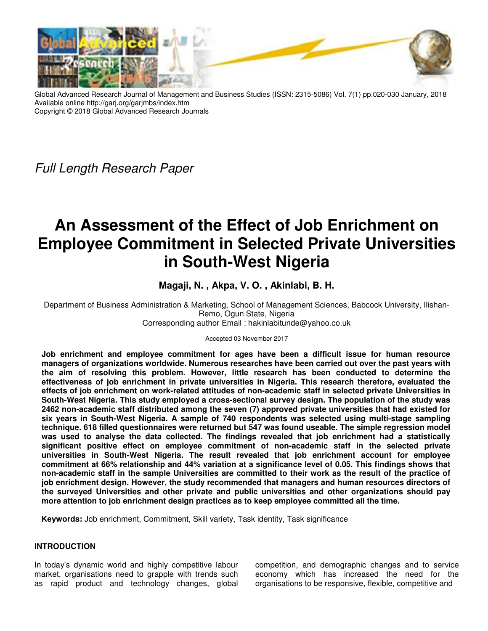

Global Advanced Research Journal of Management and Business Studies (ISSN: 2315-5086) Vol. 7(1) pp.020-030 January, 2018 Available online http://garj.org/garjmbs/index.htm Copyright © 2018 Global Advanced Research Journals

*Full Length Research Paper* 

# **An Assessment of the Effect of Job Enrichment on Employee Commitment in Selected Private Universities in South-West Nigeria**

**Magaji, N. , Akpa, V. O. , Akinlabi, B. H.** 

Department of Business Administration & Marketing, School of Management Sciences, Babcock University, Ilishan-Remo, Ogun State, Nigeria Corresponding author Email : hakinlabitunde@yahoo.co.uk

Accepted 03 November 2017

**Job enrichment and employee commitment for ages have been a difficult issue for human resource managers of organizations worldwide. Numerous researches have been carried out over the past years with the aim of resolving this problem. However, little research has been conducted to determine the effectiveness of job enrichment in private universities in Nigeria. This research therefore, evaluated the effects of job enrichment on work-related attitudes of non-academic staff in selected private Universities in South-West Nigeria. This study employed a cross-sectional survey design. The population of the study was 2462 non-academic staff distributed among the seven (7) approved private universities that had existed for six years in South-West Nigeria. A sample of 740 respondents was selected using multi-stage sampling technique. 618 filled questionnaires were returned but 547 was found useable. The simple regression model was used to analyse the data collected. The findings revealed that job enrichment had a statistically significant positive effect on employee commitment of non-academic staff in the selected private universities in South-West Nigeria. The result revealed that job enrichment account for employee commitment at 66% relationship and 44% variation at a significance level of 0.05. This findings shows that non-academic staff in the sample Universities are committed to their work as the result of the practice of job enrichment design. However, the study recommended that managers and human resources directors of the surveyed Universities and other private and public universities and other organizations should pay more attention to job enrichment design practices as to keep employee committed all the time.** 

**Keywords:** Job enrichment, Commitment, Skill variety, Task identity, Task significance

# **INTRODUCTION**

In today's dynamic world and highly competitive labour market, organisations need to grapple with trends such as rapid product and technology changes, global competition, and demographic changes and to service economy which has increased the need for the organisations to be responsive, flexible, competitive and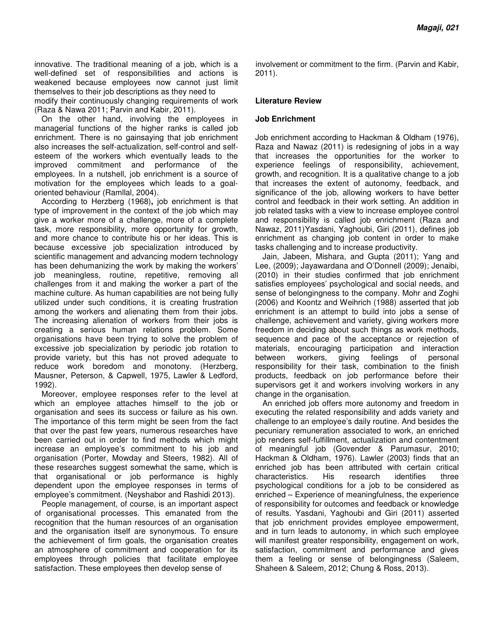innovative. The traditional meaning of a job, which is a well-defined set of responsibilities and actions is weakened because employees now cannot just limit themselves to their job descriptions as they need to modify their continuously changing requirements of work (Raza & Nawa 2011; Parvin and Kabir, 2011).

On the other hand, involving the employees in managerial functions of the higher ranks is called job enrichment. There is no gainsaying that job enrichment also increases the self-actualization, self-control and selfesteem of the workers which eventually leads to the improved commitment and performance of the employees. In a nutshell, job enrichment is a source of motivation for the employees which leads to a goaloriented behaviour (Ramllal, 2004).

According to Herzberg (1968)**,** job enrichment is that type of improvement in the context of the job which may give a worker more of a challenge, more of a complete task, more responsibility, more opportunity for growth, and more chance to contribute his or her ideas. This is because excessive job specialization introduced by scientific management and advancing modern technology has been dehumanizing the work by making the workers' job meaningless, routine, repetitive, removing all challenges from it and making the worker a part of the machine culture. As human capabilities are not being fully utilized under such conditions, it is creating frustration among the workers and alienating them from their jobs. The increasing alienation of workers from their jobs is creating a serious human relations problem. Some organisations have been trying to solve the problem of excessive job specialization by periodic job rotation to provide variety, but this has not proved adequate to reduce work boredom and monotony. (Herzberg, Mausner, Peterson, & Capwell, 1975, Lawler & Ledford, 1992).

Moreover, employee responses refer to the level at which an employee attaches himself to the job or organisation and sees its success or failure as his own. The importance of this term might be seen from the fact that over the past few years, numerous researches have been carried out in order to find methods which might increase an employee's commitment to his job and organisation (Porter, Mowday and Steers, 1982). All of these researches suggest somewhat the same, which is that organisational or job performance is highly dependent upon the employee responses in terms of employee's commitment. (Neyshabor and Rashidi 2013).

People management, of course, is an important aspect of organisational processes. This emanated from the recognition that the human resources of an organisation and the organisation itself are synonymous. To ensure the achievement of firm goals, the organisation creates an atmosphere of commitment and cooperation for its employees through policies that facilitate employee satisfaction. These employees then develop sense of

involvement or commitment to the firm. (Parvin and Kabir, 2011).

#### **Literature Review**

#### **Job Enrichment**

Job enrichment according to Hackman & Oldham (1976), Raza and Nawaz (2011) is redesigning of jobs in a way that increases the opportunities for the worker to experience feelings of responsibility, achievement, growth, and recognition. It is a qualitative change to a job that increases the extent of autonomy, feedback, and significance of the job, allowing workers to have better control and feedback in their work setting. An addition in job related tasks with a view to increase employee control and responsibility is called job enrichment (Raza and Nawaz, 2011)Yasdani, Yaghoubi, Giri (2011), defines job enrichment as changing job content in order to make tasks challenging and to increase productivity.

Jain, Jabeen, Mishara, and Gupta (2011); Yang and Lee, (2009); Jayawardana and O'Donnell (2009); Jenaibi, (2010) in their studies confirmed that job enrichment satisfies employees' psychological and social needs, and sense of belongingness to the company. Mohr and Zoghi (2006) and Koontz and Weihrich (1988) asserted that job enrichment is an attempt to build into jobs a sense of challenge, achievement and variety, giving workers more freedom in deciding about such things as work methods, sequence and pace of the acceptance or rejection of materials, encouraging participation and interaction between workers, giving feelings of personal responsibility for their task, combination to the finish products, feedback on job performance before their supervisors get it and workers involving workers in any change in the organisation.

An enriched job offers more autonomy and freedom in executing the related responsibility and adds variety and challenge to an employee's daily routine. And besides the pecuniary remuneration associated to work, an enriched job renders self-fulfillment, actualization and contentment of meaningful job (Govender & Parumasur, 2010; Hackman & Oldham, 1976). Lawler (2003) finds that an enriched job has been attributed with certain critical characteristics. His research identifies three psychological conditions for a job to be considered as enriched – Experience of meaningfulness, the experience of responsibility for outcomes and feedback or knowledge of results. Yasdani, Yaghoubi and Giri (2011) asserted that job enrichment provides employee empowerment, and in turn leads to autonomy, in which such employee will manifest greater responsibility, engagement on work, satisfaction, commitment and performance and gives them a feeling or sense of belongingness (Saleem, Shaheen & Saleem, 2012; Chung & Ross, 2013).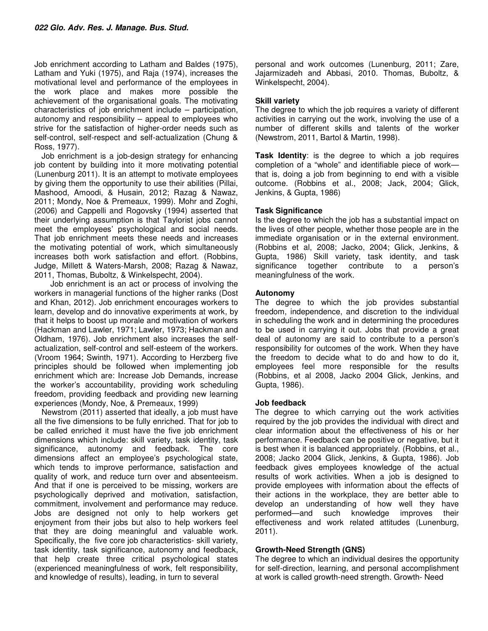Job enrichment according to Latham and Baldes (1975), Latham and Yuki (1975), and Raja (1974), increases the motivational level and performance of the employees in the work place and makes more possible the achievement of the organisational goals. The motivating characteristics of job enrichment include – participation, autonomy and responsibility – appeal to employees who strive for the satisfaction of higher-order needs such as self-control, self-respect and self-actualization (Chung & Ross, 1977).

Job enrichment is a job-design strategy for enhancing job content by building into it more motivating potential (Lunenburg 2011). It is an attempt to motivate employees by giving them the opportunity to use their abilities (Pillai, Mashood, Amoodi, & Husain, 2012; Razag & Nawaz, 2011; Mondy, Noe & Premeaux, 1999). Mohr and Zoghi, (2006) and Cappelli and Rogovsky (1994) asserted that their underlying assumption is that Taylorist jobs cannot meet the employees' psychological and social needs. That job enrichment meets these needs and increases the motivating potential of work, which simultaneously increases both work satisfaction and effort. (Robbins, Judge, Millett & Waters-Marsh, 2008; Razag & Nawaz, 2011, Thomas, Buboltz, & Winkelspecht, 2004).

 Job enrichment is an act or process of involving the workers in managerial functions of the higher ranks (Dost and Khan, 2012). Job enrichment encourages workers to learn, develop and do innovative experiments at work, by that it helps to boost up morale and motivation of workers (Hackman and Lawler, 1971; Lawler, 1973; Hackman and Oldham, 1976). Job enrichment also increases the selfactualization, self-control and self-esteem of the workers. (Vroom 1964; Swinth, 1971). According to Herzberg five principles should be followed when implementing job enrichment which are: Increase Job Demands, increase the worker's accountability, providing work scheduling freedom, providing feedback and providing new learning experiences (Mondy, Noe, & Premeaux, 1999)

Newstrom (2011) asserted that ideally, a job must have all the five dimensions to be fully enriched. That for job to be called enriched it must have the five job enrichment dimensions which include: skill variety, task identity, task significance, autonomy and feedback. The core dimensions affect an employee's psychological state, which tends to improve performance, satisfaction and quality of work, and reduce turn over and absenteeism. And that if one is perceived to be missing, workers are psychologically deprived and motivation, satisfaction, commitment, involvement and performance may reduce. Jobs are designed not only to help workers get enjoyment from their jobs but also to help workers feel that they are doing meaningful and valuable work. Specifically, the five core job characteristics- skill variety, task identity, task significance, autonomy and feedback, that help create three critical psychological states (experienced meaningfulness of work, felt responsibility, and knowledge of results), leading, in turn to several

personal and work outcomes (Lunenburg, 2011; Zare, Jajarmizadeh and Abbasi, 2010. Thomas, Buboltz, & Winkelspecht, 2004).

## **Skill variety**

The degree to which the job requires a variety of different activities in carrying out the work, involving the use of a number of different skills and talents of the worker (Newstrom, 2011, Bartol & Martin, 1998).

**Task Identity**: is the degree to which a job requires completion of a "whole" and identifiable piece of work that is, doing a job from beginning to end with a visible outcome. (Robbins et al., 2008; Jack, 2004; Glick, Jenkins, & Gupta, 1986)

## **Task Significance**

Is the degree to which the job has a substantial impact on the lives of other people, whether those people are in the immediate organisation or in the external environment. (Robbins et al, 2008; Jacko, 2004; Glick, Jenkins, & Gupta, 1986) Skill variety, task identity, and task significance together contribute to a person's meaningfulness of the work.

## **Autonomy**

The degree to which the job provides substantial freedom, independence, and discretion to the individual in scheduling the work and in determining the procedures to be used in carrying it out. Jobs that provide a great deal of autonomy are said to contribute to a person's responsibility for outcomes of the work. When they have the freedom to decide what to do and how to do it, employees feel more responsible for the results (Robbins, et al 2008, Jacko 2004 Glick, Jenkins, and Gupta, 1986).

#### **Job feedback**

The degree to which carrying out the work activities required by the job provides the individual with direct and clear information about the effectiveness of his or her performance. Feedback can be positive or negative, but it is best when it is balanced appropriately. (Robbins, et al., 2008; Jacko 2004 Glick, Jenkins, & Gupta, 1986). Job feedback gives employees knowledge of the actual results of work activities. When a job is designed to provide employees with information about the effects of their actions in the workplace, they are better able to develop an understanding of how well they have performed—and such knowledge improves their effectiveness and work related attitudes (Lunenburg, 2011).

# **Growth-Need Strength (GNS)**

The degree to which an individual desires the opportunity for self-direction, learning, and personal accomplishment at work is called growth-need strength. Growth- Need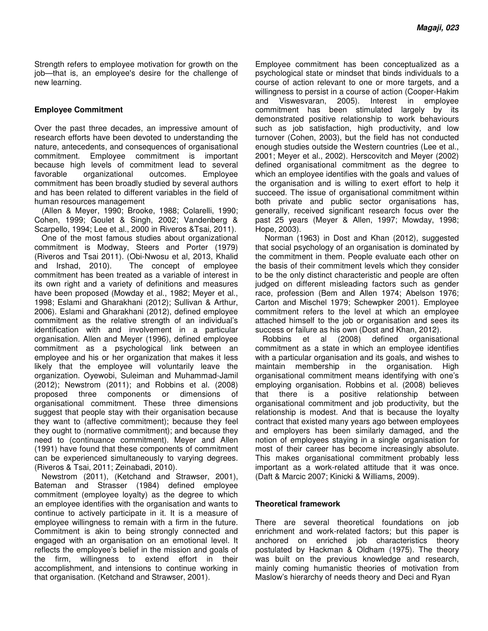Strength refers to employee motivation for growth on the job—that is, an employee's desire for the challenge of new learning.

## **Employee Commitment**

Over the past three decades, an impressive amount of research efforts have been devoted to understanding the nature, antecedents, and consequences of organisational commitment. Employee commitment is important because high levels of commitment lead to several favorable organizational outcomes. Employee commitment has been broadly studied by several authors and has been related to different variables in the field of human resources management

(Allen & Meyer, 1990; Brooke, 1988; Colarelli, 1990; Cohen, 1999; Goulet & Singh, 2002; Vandenberg & Scarpello, 1994; Lee et al., 2000 in Riveros &Tsai, 2011).

One of the most famous studies about organizational commitment is Modway, Steers and Porter (1979) (Riveros and Tsai 2011). (Obi-Nwosu et al, 2013, Khalid and Irshad, 2010). The concept of employee commitment has been treated as a variable of interest in its own right and a variety of definitions and measures have been proposed (Mowday et al., 1982; Meyer et al., 1998; Eslami and Gharakhani (2012); Sullivan & Arthur, 2006). Eslami and Gharakhani (2012), defined employee commitment as the relative strength of an individual's identification with and involvement in a particular organisation. Allen and Meyer (1996), defined employee commitment as a psychological link between an employee and his or her organization that makes it less likely that the employee will voluntarily leave the organization. Oyewobi, Suleiman and Muhammad-Jamil (2012); Newstrom (2011); and Robbins et al. (2008) proposed three components or dimensions of organisational commitment. These three dimensions suggest that people stay with their organisation because they want to (affective commitment); because they feel they ought to (normative commitment); and because they need to (continuance commitment). Meyer and Allen (1991) have found that these components of commitment can be experienced simultaneously to varying degrees. (Riveros & Tsai, 2011; Zeinabadi, 2010).

Newstrom (2011), (Ketchand and Strawser, 2001), Bateman and Strasser (1984) defined employee commitment (employee loyalty) as the degree to which an employee identifies with the organisation and wants to continue to actively participate in it. It is a measure of employee willingness to remain with a firm in the future. Commitment is akin to being strongly connected and engaged with an organisation on an emotional level. It reflects the employee's belief in the mission and goals of the firm, willingness to extend effort in their accomplishment, and intensions to continue working in that organisation. (Ketchand and Strawser, 2001).

Employee commitment has been conceptualized as a psychological state or mindset that binds individuals to a course of action relevant to one or more targets, and a willingness to persist in a course of action (Cooper-Hakim and Viswesvaran, 2005). Interest in employee commitment has been stimulated largely by its demonstrated positive relationship to work behaviours such as job satisfaction, high productivity, and low turnover (Cohen, 2003), but the field has not conducted enough studies outside the Western countries (Lee et al., 2001; Meyer et al., 2002). Herscovitch and Meyer (2002) defined organisational commitment as the degree to which an employee identifies with the goals and values of the organisation and is willing to exert effort to help it succeed. The issue of organisational commitment within both private and public sector organisations has, generally, received significant research focus over the past 25 years (Meyer & Allen, 1997; Mowday, 1998; Hope, 2003).

 Norman (1963) in Dost and Khan (2012), suggested that social psychology of an organisation is dominated by the commitment in them. People evaluate each other on the basis of their commitment levels which they consider to be the only distinct characteristic and people are often judged on different misleading factors such as gender race, profession (Bem and Allen 1974; Abelson 1976; Carton and Mischel 1979; Schewpker 2001). Employee commitment refers to the level at which an employee attached himself to the job or organisation and sees its success or failure as his own (Dost and Khan, 2012).

Robbins et al (2008) defined organisational commitment as a state in which an employee identifies with a particular organisation and its goals, and wishes to maintain membership in the organisation. High organisational commitment means identifying with one's employing organisation. Robbins et al. (2008) believes that there is a positive relationship between organisational commitment and job productivity, but the relationship is modest. And that is because the loyalty contract that existed many years ago between employees and employers has been similarly damaged, and the notion of employees staying in a single organisation for most of their career has become increasingly absolute. This makes organisational commitment probably less important as a work-related attitude that it was once. (Daft & Marcic 2007; Kinicki & Williams, 2009).

#### **Theoretical framework**

There are several theoretical foundations on job enrichment and work-related factors; but this paper is anchored on enriched job characteristics theory postulated by Hackman & Oldham (1975). The theory was built on the previous knowledge and research, mainly coming humanistic theories of motivation from Maslow's hierarchy of needs theory and Deci and Ryan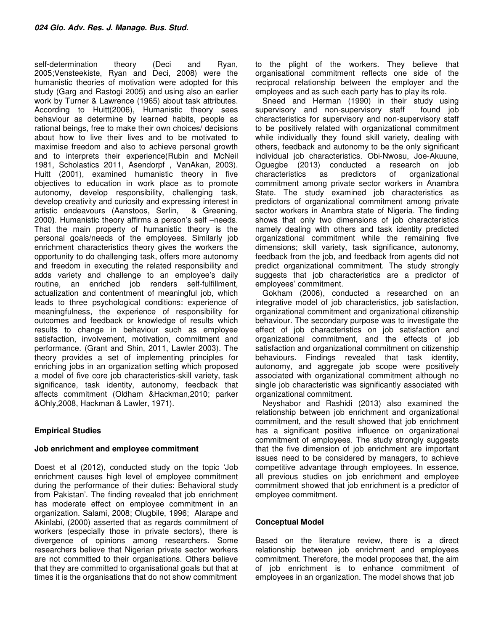self-determination theory (Deci and Ryan, 2005;Vensteekiste, Ryan and Deci, 2008) were the humanistic theories of motivation were adopted for this study (Garg and Rastogi 2005) and using also an earlier work by Turner & Lawrence (1965) about task attributes. According to Huitt(2006), Humanistic theory sees behaviour as determine by learned habits, people as rational beings, free to make their own choices/ decisions about how to live their lives and to be motivated to maximise freedom and also to achieve personal growth and to interprets their experience(Rubin and McNeil 1981, Scholastics 2011, Asendorpf , VanAkan, 2003). Huitt (2001), examined humanistic theory in five objectives to education in work place as to promote autonomy, develop responsibility, challenging task, develop creativity and curiosity and expressing interest in artistic endeavours (Aanstoos, Serlin, & Greening, 2000**)**. Humanistic theory affirms a person's self –needs. That the main property of humanistic theory is the personal goals/needs of the employees. Similarly job enrichment characteristics theory gives the workers the opportunity to do challenging task, offers more autonomy and freedom in executing the related responsibility and adds variety and challenge to an employee's daily routine, an enriched job renders self-fulfillment, actualization and contentment of meaningful job, which leads to three psychological conditions: experience of meaningfulness, the experience of responsibility for outcomes and feedback or knowledge of results which results to change in behaviour such as employee satisfaction, involvement, motivation, commitment and performance. (Grant and Shin, 2011, Lawler 2003). The theory provides a set of implementing principles for enriching jobs in an organization setting which proposed a model of five core job characteristics-skill variety, task significance, task identity, autonomy, feedback that affects commitment (Oldham &Hackman,2010; parker &Ohly,2008, Hackman & Lawler, 1971).

# **Empirical Studies**

#### **Job enrichment and employee commitment**

Doest et al (2012), conducted study on the topic 'Job enrichment causes high level of employee commitment during the performance of their duties: Behavioral study from Pakistan'. The finding revealed that job enrichment has moderate effect on employee commitment in an organization. Salami, 2008; Olugbile, 1996; Alarape and Akinlabi, (2000) asserted that as regards commitment of workers (especially those in private sectors), there is divergence of opinions among researchers. Some researchers believe that Nigerian private sector workers are not committed to their organisations. Others believe that they are committed to organisational goals but that at times it is the organisations that do not show commitment

to the plight of the workers. They believe that organisational commitment reflects one side of the reciprocal relationship between the employer and the employees and as such each party has to play its role.

Sneed and Herman (1990) in their study using supervisory and non-supervisory staff found job characteristics for supervisory and non-supervisory staff to be positively related with organizational commitment while individually they found skill variety, dealing with others, feedback and autonomy to be the only significant individual job characteristics. Obi-Nwosu, Joe-Akuune, Oguegbe (2013) conducted a research on job characteristics as predictors of organizational commitment among private sector workers in Anambra State. The study examined job characteristics as predictors of organizational commitment among private sector workers in Anambra state of Nigeria. The finding shows that only two dimensions of job characteristics namely dealing with others and task identity predicted organizational commitment while the remaining five dimensions; skill variety, task significance, autonomy, feedback from the job, and feedback from agents did not predict organizational commitment. The study strongly suggests that job characteristics are a predictor of employees' commitment.

Gokham (2006), conducted a researched on an integrative model of job characteristics, job satisfaction, organizational commitment and organizational citizenship behaviour. The secondary purpose was to investigate the effect of job characteristics on job satisfaction and organizational commitment, and the effects of job satisfaction and organizational commitment on citizenship behaviours. Findings revealed that task identity, autonomy, and aggregate job scope were positively associated with organizational commitment although no single job characteristic was significantly associated with organizational commitment.

Neyshabor and Rashidi (2013) also examined the relationship between job enrichment and organizational commitment, and the result showed that job enrichment has a significant positive influence on organizational commitment of employees. The study strongly suggests that the five dimension of job enrichment are important issues need to be considered by managers, to achieve competitive advantage through employees. In essence, all previous studies on job enrichment and employee commitment showed that job enrichment is a predictor of employee commitment.

# **Conceptual Model**

Based on the literature review, there is a direct relationship between job enrichment and employees commitment. Therefore, the model proposes that, the aim of job enrichment is to enhance commitment of employees in an organization. The model shows that job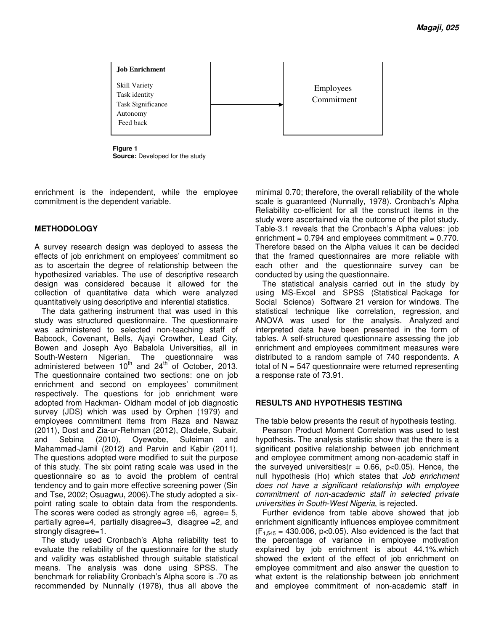

**Figure 1 Source:** Developed for the study

enrichment is the independent, while the employee commitment is the dependent variable.

## **METHODOLOGY**

A survey research design was deployed to assess the effects of job enrichment on employees' commitment so as to ascertain the degree of relationship between the hypothesized variables. The use of descriptive research design was considered because it allowed for the collection of quantitative data which were analyzed quantitatively using descriptive and inferential statistics.

The data gathering instrument that was used in this study was structured questionnaire. The questionnaire was administered to selected non-teaching staff of Babcock, Covenant, Bells, Ajayi Crowther, Lead City, Bowen and Joseph Ayo Babalola Universities, all in South-Western Nigerian. The questionnaire was administered between  $10^{th}$  and  $24^{th}$  of October, 2013. The questionnaire contained two sections: one on job enrichment and second on employees' commitment respectively. The questions for job enrichment were adopted from Hackman- Oldham model of job diagnostic survey (JDS) which was used by Orphen (1979) and employees commitment items from Raza and Nawaz (2011), Dost and Zia-ur-Rehman (2012), Oladele, Subair, and Sebina (2010), Oyewobe, Suleiman and Mahammad-Jamil (2012) and Parvin and Kabir (2011). The questions adopted were modified to suit the purpose of this study. The six point rating scale was used in the questionnaire so as to avoid the problem of central tendency and to gain more effective screening power (Sin and Tse, 2002; Osuagwu, 2006).The study adopted a sixpoint rating scale to obtain data from the respondents. The scores were coded as strongly agree  $=6$ , agree= 5, partially agree=4, partially disagree=3, disagree =2, and strongly disagree=1.

The study used Cronbach's Alpha reliability test to evaluate the reliability of the questionnaire for the study and validity was established through suitable statistical means. The analysis was done using SPSS. The benchmark for reliability Cronbach's Alpha score is .70 as recommended by Nunnally (1978), thus all above the minimal 0.70; therefore, the overall reliability of the whole scale is guaranteed (Nunnally, 1978). Cronbach's Alpha Reliability co-efficient for all the construct items in the study were ascertained via the outcome of the pilot study. Table-3.1 reveals that the Cronbach's Alpha values: job enrichment =  $0.794$  and employees commitment =  $0.770$ . Therefore based on the Alpha values it can be decided that the framed questionnaires are more reliable with each other and the questionnaire survey can be conducted by using the questionnaire.

The statistical analysis carried out in the study by using MS-Excel and SPSS (Statistical Package for Social Science) Software 21 version for windows. The statistical technique like correlation, regression, and ANOVA was used for the analysis. Analyzed and interpreted data have been presented in the form of tables. A self-structured questionnaire assessing the job enrichment and employees commitment measures were distributed to a random sample of 740 respondents. A total of  $N = 547$  questionnaire were returned representing a response rate of 73.91.

#### **RESULTS AND HYPOTHESIS TESTING**

The table below presents the result of hypothesis testing.

Pearson Product Moment Correlation was used to test hypothesis. The analysis statistic show that the there is a significant positive relationship between job enrichment and employee commitment among non-academic staff in the surveyed universities( $r = 0.66$ ,  $p < 0.05$ ). Hence, the null hypothesis (Ho) which states that *Job enrichment does not have a significant relationship with employee commitment of non-academic staff in selected private universities in South-West Nigeria*, is rejected.

Further evidence from table above showed that job enrichment significantly influences employee commitment  $(F_{1,545} = 430.006, p<0.05)$ . Also evidenced is the fact that the percentage of variance in employee motivation explained by job enrichment is about 44.1%.which showed the extent of the effect of job enrichment on employee commitment and also answer the question to what extent is the relationship between job enrichment and employee commitment of non-academic staff in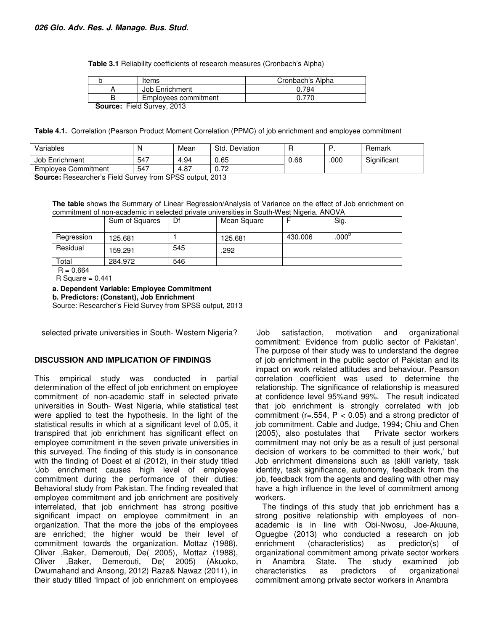**Table 3.1** Reliability coefficients of research measures (Cronbach's Alpha)

|                            | Items                | Cronbach's Alpha |  |  |  |  |
|----------------------------|----------------------|------------------|--|--|--|--|
|                            | Job Enrichment       | 0.794            |  |  |  |  |
|                            | Employees commitment |                  |  |  |  |  |
| Pausant Field Current 0010 |                      |                  |  |  |  |  |

**Source:** Field Survey, 2013

**Table 4.1.** Correlation (Pearson Product Moment Correlation (PPMC) of job enrichment and employee commitment

| Variables           | N   | Mean | Std.<br>Deviation |      | Е   | Remark      |
|---------------------|-----|------|-------------------|------|-----|-------------|
| Job Enrichment      | 547 | 4.94 | 0.65              | 0.66 | 000 | Significant |
| Employee Commitment | 547 | 4.87 | 0.72              |      |     |             |

**Source:** Researcher's Field Survey from SPSS output, 2013

**The table** shows the Summary of Linear Regression/Analysis of Variance on the effect of Job enrichment on commitment of non-academic in selected private universities in South-West Nigeria. ANOVA

|                    | Sum of Squares | Df  | Mean Square |         | Sig.           |  |  |
|--------------------|----------------|-----|-------------|---------|----------------|--|--|
| Regression         | 125.681        |     | 125.681     | 430,006 | $.000^{\circ}$ |  |  |
| Residual           | 159.291        | 545 | .292        |         |                |  |  |
| Total              | 284.972        | 546 |             |         |                |  |  |
| $R = 0.664$        |                |     |             |         |                |  |  |
| $R$ Square = 0.441 |                |     |             |         |                |  |  |

**a. Dependent Variable: Employee Commitment**

**b. Predictors: (Constant), Job Enrichment**

Source: Researcher's Field Survey from SPSS output, 2013

selected private universities in South- Western Nigeria?

#### **DISCUSSION AND IMPLICATION OF FINDINGS**

This empirical study was conducted in partial determination of the effect of job enrichment on employee commitment of non-academic staff in selected private universities in South- West Nigeria, while statistical test were applied to test the hypothesis. In the light of the statistical results in which at a significant level of 0.05, it transpired that job enrichment has significant effect on employee commitment in the seven private universities in this surveyed. The finding of this study is in consonance with the finding of Doest et al (2012), in their study titled 'Job enrichment causes high level of employee commitment during the performance of their duties: Behavioral study from Pakistan. The finding revealed that employee commitment and job enrichment are positively interrelated, that job enrichment has strong positive significant impact on employee commitment in an organization. That the more the jobs of the employees are enriched; the higher would be their level of commitment towards the organization. Mottaz (1988), Oliver ,Baker, Demerouti, De( 2005), Mottaz (1988), Oliver ,Baker, Demerouti, De( 2005) (Akuoko, Dwumahand and Ansong, 2012) Raza& Nawaz (2011), in their study titled 'Impact of job enrichment on employees

'Job satisfaction, motivation and organizational commitment: Evidence from public sector of Pakistan'. The purpose of their study was to understand the degree of job enrichment in the public sector of Pakistan and its impact on work related attitudes and behaviour. Pearson correlation coefficient was used to determine the relationship. The significance of relationship is measured at confidence level 95%and 99%. The result indicated that job enrichment is strongly correlated with job commitment ( $r = .554$ ,  $P < 0.05$ ) and a strong predictor of job commitment. Cable and Judge, 1994; Chiu and Chen (2005), also postulates that Private sector workers commitment may not only be as a result of just personal decision of workers to be committed to their work,' but Job enrichment dimensions such as (skill variety, task identity, task significance, autonomy, feedback from the job, feedback from the agents and dealing with other may have a high influence in the level of commitment among workers.

The findings of this study that job enrichment has a strong positive relationship with employees of nonacademic is in line with Obi-Nwosu, Joe-Akuune, Oguegbe (2013) who conducted a research on job enrichment (characteristics) as predictor(s) of organizational commitment among private sector workers in Anambra State. The study examined job characteristics as predictors of organizational commitment among private sector workers in Anambra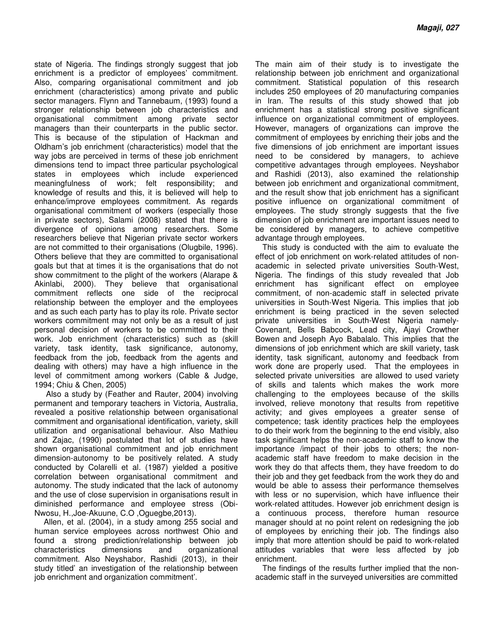state of Nigeria. The findings strongly suggest that job enrichment is a predictor of employees' commitment. Also, comparing organisational commitment and job enrichment (characteristics) among private and public sector managers. Flynn and Tannebaum, (1993) found a stronger relationship between job characteristics and organisational commitment among private sector managers than their counterparts in the public sector. This is because of the stipulation of Hackman and Oldham's job enrichment (characteristics) model that the way jobs are perceived in terms of these job enrichment dimensions tend to impact three particular psychological states in employees which include experienced meaningfulness of work; felt responsibility; and knowledge of results and this, it is believed will help to enhance/improve employees commitment. As regards organisational commitment of workers (especially those in private sectors), Salami (2008) stated that there is divergence of opinions among researchers. Some researchers believe that Nigerian private sector workers are not committed to their organisations (Olugbile, 1996). Others believe that they are committed to organisational goals but that at times it is the organisations that do not show commitment to the plight of the workers (Alarape & Akinlabi, 2000). They believe that organisational commitment reflects one side of the reciprocal relationship between the employer and the employees and as such each party has to play its role. Private sector workers commitment may not only be as a result of just personal decision of workers to be committed to their work. Job enrichment (characteristics) such as (skill variety, task identity, task significance, autonomy, feedback from the job, feedback from the agents and dealing with others) may have a high influence in the level of commitment among workers (Cable & Judge, 1994; Chiu & Chen, 2005)

 Also a study by (Feather and Rauter, 2004) involving permanent and temporary teachers in Victoria, Australia, revealed a positive relationship between organisational commitment and organisational identification, variety, skill utilization and organisational behaviour. Also Mathieu and Zajac, (1990) postulated that lot of studies have shown organisational commitment and job enrichment dimension-autonomy to be positively related. A study conducted by Colarelli et al*.* (1987) yielded a positive correlation between organisational commitment and autonomy. The study indicated that the lack of autonomy and the use of close supervision in organisations result in diminished performance and employee stress (Obi-Nwosu, H.,Joe-Akuune, C.O ,Oguegbe,2013).

 Allen, et al*.* (2004), in a study among 255 social and human service employees across northwest Ohio and found a strong prediction/relationship between job characteristics dimensions and organizational commitment. Also Neyshabor, Rashidi (2013), in their study titled' an investigation of the relationship between job enrichment and organization commitment'.

The main aim of their study is to investigate the relationship between job enrichment and organizational commitment. Statistical population of this research includes 250 employees of 20 manufacturing companies in Iran. The results of this study showed that job enrichment has a statistical strong positive significant influence on organizational commitment of employees. However, managers of organizations can improve the commitment of employees by enriching their jobs and the five dimensions of job enrichment are important issues need to be considered by managers, to achieve competitive advantages through employees. Neyshabor and Rashidi (2013), also examined the relationship between job enrichment and organizational commitment, and the result show that job enrichment has a significant positive influence on organizational commitment of employees. The study strongly suggests that the five dimension of job enrichment are important issues need to be considered by managers, to achieve competitive advantage through employees.

This study is conducted with the aim to evaluate the effect of job enrichment on work-related attitudes of nonacademic in selected private universities South-West, Nigeria. The findings of this study revealed that Job enrichment has significant effect on employee commitment, of non-academic staff in selected private universities in South-West Nigeria. This implies that job enrichment is being practiced in the seven selected private universities in South-West Nigeria namely-Covenant, Bells Babcock, Lead city, Ajayi Crowther Bowen and Joseph Ayo Babalalo. This implies that the dimensions of job enrichment which are skill variety, task identity, task significant, autonomy and feedback from work done are properly used. That the employees in selected private universities are allowed to used variety of skills and talents which makes the work more challenging to the employees because of the skills involved, relieve monotony that results from repetitive activity; and gives employees a greater sense of competence; task identity practices help the employees to do their work from the beginning to the end visibly, also task significant helps the non-academic staff to know the importance /impact of their jobs to others; the nonacademic staff have freedom to make decision in the work they do that affects them, they have freedom to do their job and they get feedback from the work they do and would be able to assess their performance themselves with less or no supervision, which have influence their work-related attitudes. However job enrichment design is a continuous process, therefore human resource manager should at no point relent on redesigning the job of employees by enriching their job. The findings also imply that more attention should be paid to work-related attitudes variables that were less affected by job enrichment.

The findings of the results further implied that the nonacademic staff in the surveyed universities are committed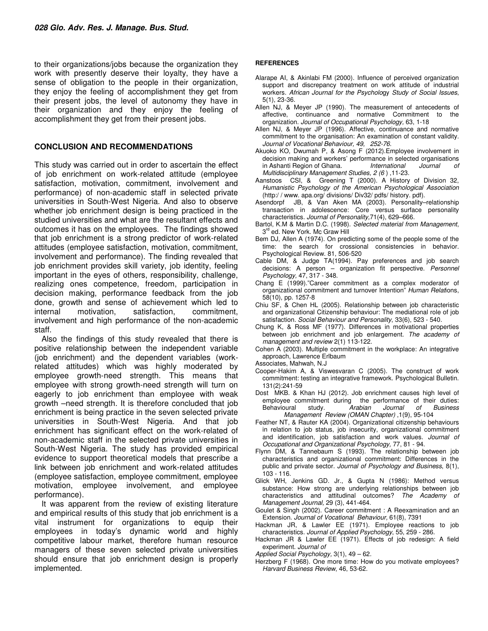to their organizations/jobs because the organization they work with presently deserve their loyalty, they have a sense of obligation to the people in their organization, they enjoy the feeling of accomplishment they get from their present jobs, the level of autonomy they have in their organization and they enjoy the feeling of accomplishment they get from their present jobs.

#### **CONCLUSION AND RECOMMENDATIONS**

This study was carried out in order to ascertain the effect of job enrichment on work-related attitude (employee satisfaction, motivation, commitment, involvement and performance) of non-academic staff in selected private universities in South-West Nigeria. And also to observe whether job enrichment design is being practiced in the studied universities and what are the resultant effects and outcomes it has on the employees. The findings showed that job enrichment is a strong predictor of work-related attitudes (employee satisfaction, motivation, commitment, involvement and performance). The finding revealed that job enrichment provides skill variety, job identity, feeling important in the eyes of others, responsibility, challenge, realizing ones competence, freedom, participation in decision making, performance feedback from the job done, growth and sense of achievement which led to internal motivation, satisfaction, commitment, involvement and high performance of the non-academic staff.

Also the findings of this study revealed that there is positive relationship between the independent variable (job enrichment) and the dependent variables (workrelated attitudes) which was highly moderated by employee growth-need strength. This means that employee with strong growth-need strength will turn on eagerly to job enrichment than employee with weak growth –need strength. It is therefore concluded that job enrichment is being practice in the seven selected private universities in South-West Nigeria. And that job enrichment has significant effect on the work-related of non-academic staff in the selected private universities in South-West Nigeria. The study has provided empirical evidence to support theoretical models that prescribe a link between job enrichment and work-related attitudes (employee satisfaction, employee commitment, employee motivation, employee involvement, and employee performance).

It was apparent from the review of existing literature and empirical results of this study that job enrichment is a vital instrument for organizations to equip their employees in today's dynamic world and highly competitive labour market, therefore human resource managers of these seven selected private universities should ensure that job enrichment design is properly implemented.

#### **REFERENCES**

- Alarape AI, & Akinlabi FM (2000). Influence of perceived organization support and discrepancy treatment on work attitude of industrial workers. *African Journal for the Psycholo*gy *Study of Social Issues*, 5(1), 23-36.
- Allen NJ, & Meyer JP (1990). The measurement of antecedents of affective, continuance and normative Commitment to the organization. *Journal of Occupational Psychology,* 63, 1-18
- Allen NJ, & Meyer JP (1996). Affective, continuance and normative commitment to the organisation: An examination of constant validity. *Journal of Vocational Behaviour, 49, 252-76*.
- Akuoko KO, Dwumah P, & Asong F (2012).Employee involvement in decision making and workers' performance in selected organisations<br>in Ashanti Region of Ghana. International Journal of in Ashanti Region of Ghana. *Multidisciplinary Management Studies, 2 (6* ) ,11-23.
- Aanstoos CSI, & Greening T (2000). A History of Division 32, *Humanistic Psychology of the American Psychological Association*  (http:/ / www. apa.org/ divisions/ Div32/ pdfs/ history. pdf).
- Asendorpf JB, & Van Aken MA (2003). Personality–relationship transaction in adolescence: Core versus surface personality characteristics. *Journal of Personality,*71(4), 629–666.
- Bartol, K.M & Martin D.C. (1998). *Selected material from Management*, 3<sup>rd</sup> ed. New York. Mc Graw Hill
- Bem DJ, Allen A (1974). On predicting some of the people some of the time: the search for crossional consistencies in behavior. Psychological Review. 81, 506-520
- Cable DM, & Judge TA(1994). Pay preferences and job search decisions: A person – organization fit perspective. *Personnel Psychology,* 47, 317 - 348.
- Chang E (1999)."Career commitment as a complex moderator of organizational commitment and turnover Intention" *Human Relat*ions, 58(10), pp. 1257-8
- Chiu SF, & Chen HL (2005). Relationship between job characteristic and organizational Citizenship behaviour: The mediational role of job satisfaction. *Social Behaviour and Personality*, 33(6), 523 - 540.
- Chung K, & Ross MF (1977). Differences in motivational properties between job enrichment and job enlargement. *The academy of management and review* 2(1) 113-122.
- Cohen A (2003). Multiple commitment in the workplace: An integrative approach, Lawrence Erlbaum
- Associates, Mahwah, N.J
- Cooper-Hakim A, & Viswesvaran C (2005). The construct of work commitment: testing an integrative framework. Psychological Bulletin. 131(2):241-59
- Dost MKB. & Khan HJ (2012). Job enrichment causes high level of employee commitment during the performance of their duties:<br>Behavioural study. Arabian Journal of Business Behavioural study.  *Management Review (OMAN Chapter)* ,1(9), 95-104
- Feather NT, & Rauter KA (2004). Organizational citizenship behaviours in relation to job status, job insecurity, organizational commitment and identification, job satisfaction and work values. *Journal of Occupational and Organizational Psychology,* 77, 81 - 94.
- Flynn DM, & Tannebaum S (1993). The relationship between job characteristics and organizational commitment: Differences in the public and private sector. *Journal of Psychology and Business*, 8(1), 103 - 116.
- Glick WH, Jenkins GD. Jr., & Gupta N (1986): Method versus substance: How strong are underlying relationships between job characteristics and attitudinal outcomes? *The Academy of Management Journal,* 29 (3), 441-464.
- Goulet & Singh (2002). Career commitment : A Reexamination and an Extension. *Journal of Vocational Behaviour,* 61(8), 7391
- Hackman JR, & Lawler EE (1971). Employee reactions to job characteristics. *Journal of Applied Psychology*, 55, 259 - 286.
- Hackman JR & Lawler EE (1971). Effects of job redesign: A field experiment. *Journal of*
- *Applied Social Psychology,* 3(1), 49 62*.*
- Herzberg F (1968). One more time: How do you motivate employees? *Harvard Business Review*, 46, 53-62.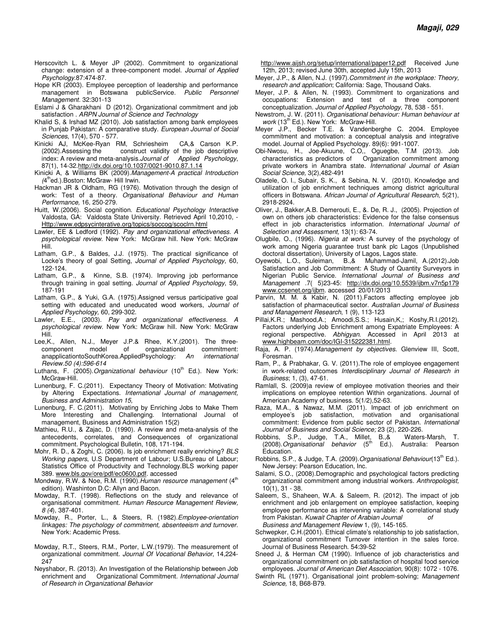- Herscovitch L. & Meyer JP (2002). Commitment to organizational change: extension of a three-component model. *Journal of Applied Psychology*.87:474-87.
- Hope KR (2003). Employee perception of leadership and performance management in Botswana publicService. *Public Personnel Management.* 32:301-13
- Eslami J & Gharakhani D (2012). Organizational commitment and job satisfaction . *ARPN Journal of Science and Technology*
- Khalid S, & Irshad MZ (2010). Job satisfaction among bank employees in Punjab Pakistan: A comparative study. *European Journal of Social Sciences*, 17(4), 570 - 577.
- Kinicki AJ, McKee-Ryan RM, Schriesheim CA,& Carson K.P. (2002).Assessing the construct validity of the job descriptive index: A review and meta-analysis.*Journal of Applied Psychology*, 87(1), 14-32.http://dx.doi.org/10.1037/0021-9010.87.1.14
- Kinicki A, & Williams BK (2009).*Management-A practical Introduction*  (4<sup>th</sup>ed.).Boston: McGraw- Hill Irwin.
- Hackman JR & Oldham, RG (1976). Motivation through the design of work: Test of a theory. *Organisational Behaviour and Human Performance,* 16, 250-279*.*
- Huitt, W.(2006). Social cognition. *Educational Psychology Interactive* Valdosta, GA: Valdosta State University. Retrieved April 10,2010, - Http://www.edpsycinterative.org/topics/soccog/scoclrn.html
- Lawler, EE & Ledford (1992). *Pay and organizational effectiveness. A psychological review.* New York: McGraw hill. New York: McGraw Hill.
- Latham, G.P., & Baldes, J.J. (1975). The practical significance of Locke's theory of goal Setting, *Journal of Applied Psychology*, 60, 122-124.
- Latham, G.P., & Kinne, S.B. (1974). Improving job performance through training in goal setting. *Journal of Applied Psychology*, 59, 187-191
- Latham, G.P., & Yuki, G.A. (1975).Assigned versus participative goal setting with educated and uneducated wood workers, *Journal of Applied Psychology,* 60, 299-302.
- Lawler, E.E., (2003). *Pay and organizational effectiveness. A psychological review.* New York: McGraw hill. New York: McGraw Hill.
- Lee,K., Allen, N.J., Meyer J.P.& Rhee, K.Y.(2001). The threecomponent model of organizational commitment: anapplicationtoSouthKorea.AppliedPsychology: *An international Review.50 (4):596-614*
- Luthans, F. (2005). Organizational behaviour (10<sup>th</sup> Ed.). New York: McGraw-Hill.
- Lunenburg, F. C.(2011). Expectancy Theory of Motivation: Motivating by Altering Expectations. *International Journal of management, Business and Administration 15,*
- Lunenburg, F. C.(2011). Motivating by Enriching Jobs to Make Them More Interesting and Challenging. International Journal of management, Business and Administration 15(2)
- Mathieu, R.U., & Zajac, D. (1990). A review and meta-analysis of the antecedents, correlates, and Consequences of organizational commitment. Psychological Bulletin, 108, 171-194.
- Mohr, R. D., & Zoghi, C. (2006). Is job enrichment really enriching? *BLS Working papers*, U.S Department of Labour; U.S.Bureau of Labour; Statistics Office of Productivity and Technology.BLS working paper 389. www.bls.gov/ore/pdf/ec0600.pdf. accessed
- Mondway, R.W. & Noe, R.M. (1990). Human resource management (4<sup>th</sup> edition). Washinton D.C: Allyn and Bacon.
- Mowday, R.T. (1998). Reflections on the study and relevance of organisational commitment. *Human Resource Management Review, 8 (4*), 387-401.
- Mowday, R., Porter, L., & Steers, R. (1982).*Employee-orientation linkages: The psychology of commitment, absenteeism and turnover.* New York: Academic Press.
- Mowday, R.T., Steers, R.M., Porter, L.W.(1979). The measurement of organizational commitment. *Journal Of Vocational Behavior*, 14,224- 247
- Neyshabor, R. (2013). An Investigation of the Relationship between Job enrichment and Organizational Commitment. *International Journal of Research in Organizational Behavior*

http://www.aijsh.org/setup/international/paper12.pdf Received June 12th, 2013; revised June 30th, accepted July 15th, 2013

- Meyer, J.P., & Allen, N.J. (1997).*Commitment in the workplace: Theory, research and application*; California: Sage, Thousand Oaks.
- Meyer, J.P. & Allen, N. (1993). Commitment to organizations and occupations: Extension and test of a three component conceptualization. *Journal of Applied Psychology*, 78, 538 - 551.
- Newstrom, J. W. (2011). *Organisational behaviour: Human behaviour at work* (13th Ed.). New York: McGraw-Hill.
- Meyer J.P., Becker T.E. & Vandenberghe C. 2004. Employee commitment and motivation: a conceptual analysis and integrative model. Journal of Applied Psychology. 89(6): 991-1007.
- Obi-Nwosu, H., Joe-Akuune, C.O,, Oguegbe, T.M (2013). Job characteristics as predictors of Organization commitment among private workers in Anambra state. *International Journal of Asian Social Science,* 3(2),482-491
- Oladele, O. I., Subair, S. K., & Sebina, N. V. (2010). Knowledge and utilization of job enrichment techniques among district agricultural officers in Botswana. *African Journal of Agricultural Research*, 5(21), 2918-2924.
- Oliver, J., Bakker,A.B. Demerouti, E., &. De, R. J., (2005). Projection of own on others job characteristics: Evidence for the false consensus effect in job characteristics information. *International Journal of Selection and Assessment,* 13(1): 63-74.
- Olugbile, O., (1996). *Nigeria at work:* A survey of the psychology of work among Nigeria guarantee trust bank plc Lagos (Unpublished doctoral dissertation), University of Lagos, Lagos state.
- Oyewobi, L.O., Suleiman, B.,& Muhammad-Jamil, A.(2012).Job Satisfaction and Job Commitment: A Study of Quantity Surveyors in Nigerian Public Service. *International Journal of Business and Management .*7( 5)23-45: http://dx.doi.org/10.5539/ijbm.v7n5p179 www.ccsenet.org/ijbm. accessed 20/01/2013
- Parvin, M. M. & Kabir, N. (2011).Factors affecting employee job satisfaction of pharmaceutical sector. *Australian Journal of Business and Management Research*, 1 (9), 113-123
- Pillai,K.R.; Mashood,A.; Amoodi,S.S.; Husain,K,; Koshy,R.I.(2012). Factors underlying Job Enrichment among Expatriate Employees: A regional perspective. *Abhigyan*. Accessed in April 2013 at www.highbeam.com/doc/IGI-315222381.html.
- Raja, A. P. (1974).*Management by objectives.* Glenview III, Scott, Foresman.
- Ram, P., & Prabhakar, G. V. (2011).The role of employee engagement in work-related outcomes *Interdisciplinary Journal of Research in Business*; 1, (3), 47-61.
- Ramlall, S. (2009)a review of employee motivation theories and their implications on employee retention Within organizations. Journal of American Academy of business. 5(1/2),52-63.
- Raza, M.A., & Nawaz, M.M. (2011). Impact of job enrichment on employee's job satisfaction, motivation and organisational commitment: Evidence from public sector of Pakistan. *International Journal of Business and Social Science;* 23 (2), 220-226.
- Robbins, S.P., Judge, T.A., Millet, B.,& Waters-Marsh, T.<br>(2008).*Organisational behavior* (5<sup>th</sup> Ed.). Australia: Pearson Education.
- Robbins, S.P., & Judge, T.A. (2009). Organisational Behaviour(13<sup>th</sup> Ed.). New Jersey: Pearson Education, Inc.
- Salami, S.O., (2008).Demographic and psychological factors predicting organizational commitment among industrial workers. *Anthropologist,* 10(1), 31 - 38.
- Saleem, S., Shaheen, W.A. & Saleem, R. (2012). The impact of job enrichment and job enlargement on employee satisfaction, keeping employee performance as intervening variable: A correlational study from Pakistan. *Kuwait Chapter of Arabian Journal of Business and Management Review* 1, (9), 145-165.
- Schwepker, C.H.(2001). Ethical climate's relationship to job satisfaction, organizational commitment Turnover intention in the sales force. Journal of Business Research. 54:39-52
- Sneed J, & Herman CM (1990). Influence of job characteristics and organizational commitment on job satisfaction of hospital food service employees. *Journal of American Diet Association,* 90(8): 1072 - 1076.
- Swinth RL (1971). Organisational joint problem-solving; *Management Science,* 18, B68-B79.